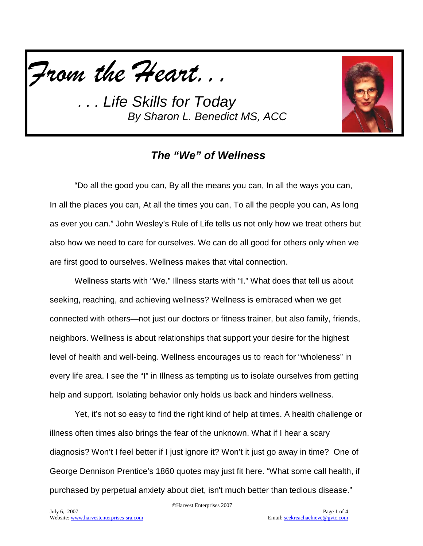



# *The "We" of Wellness*

"Do all the good you can, By all the means you can, In all the ways you can, In all the places you can, At all the times you can, To all the people you can, As long as ever you can." John Wesley's Rule of Life tells us not only how we treat others but also how we need to care for ourselves. We can do all good for others only when we are first good to ourselves. Wellness makes that vital connection.

Wellness starts with "We." Illness starts with "I." What does that tell us about seeking, reaching, and achieving wellness? Wellness is embraced when we get connected with others—not just our doctors or fitness trainer, but also family, friends, neighbors. Wellness is about relationships that support your desire for the highest level of health and well-being. Wellness encourages us to reach for "wholeness" in every life area. I see the "I" in Illness as tempting us to isolate ourselves from getting help and support. Isolating behavior only holds us back and hinders wellness.

Yet, it's not so easy to find the right kind of help at times. A health challenge or illness often times also brings the fear of the unknown. What if I hear a scary diagnosis? Won't I feel better if I just ignore it? Won't it just go away in time? One of George Dennison Prentice's 1860 quotes may just fit here. "What some call health, if purchased by perpetual anxiety about diet, isn't much better than tedious disease."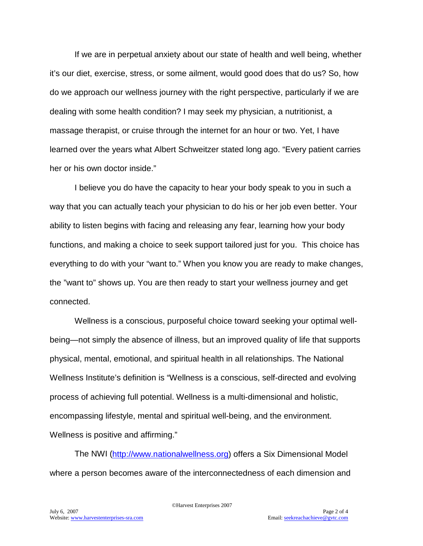If we are in perpetual anxiety about our state of health and well being, whether it's our diet, exercise, stress, or some ailment, would good does that do us? So, how do we approach our wellness journey with the right perspective, particularly if we are dealing with some health condition? I may seek my physician, a nutritionist, a massage therapist, or cruise through the internet for an hour or two. Yet, I have learned over the years what Albert Schweitzer stated long ago. "Every patient carries her or his own doctor inside."

I believe you do have the capacity to hear your body speak to you in such a way that you can actually teach your physician to do his or her job even better. Your ability to listen begins with facing and releasing any fear, learning how your body functions, and making a choice to seek support tailored just for you. This choice has everything to do with your "want to." When you know you are ready to make changes, the "want to" shows up. You are then ready to start your wellness journey and get connected.

Wellness is a conscious, purposeful choice toward seeking your optimal wellbeing—not simply the absence of illness, but an improved quality of life that supports physical, mental, emotional, and spiritual health in all relationships. The National Wellness Institute's definition is "Wellness is a conscious, self-directed and evolving process of achieving full potential. Wellness is a multi-dimensional and holistic, encompassing lifestyle, mental and spiritual well-being, and the environment. Wellness is positive and affirming."

The NWI [\(http://www.nationalwellness.org\)](http://www.nationalwellness.org/) offers a Six Dimensional Model where a person becomes aware of the interconnectedness of each dimension and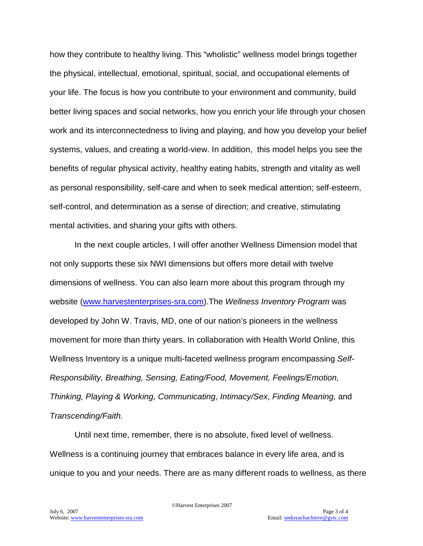how they contribute to healthy living. This "wholistic" wellness model brings together the physical, intellectual, emotional, spiritual, social, and occupational elements of your life. The focus is how you contribute to your environment and community, build better living spaces and social networks, how you enrich your life through your chosen work and its interconnectedness to living and playing, and how you develop your belief systems, values, and creating a world-view. In addition, this model helps you see the benefits of regular physical activity, healthy eating habits, strength and vitality as well as personal responsibility, self-care and when to seek medical attention; self-esteem, self-control, and determination as a sense of direction; and creative, stimulating mental activities, and sharing your gifts with others.

In the next couple articles, I will offer another Wellness Dimension model that not only supports these six NWI dimensions but offers more detail with twelve dimensions of wellness. You can also learn more about this program through my website [\(www.harvestenterprises-sra.com\)](http://www.harvestenterprises-sra.com/).The *Wellness Inventory Program* was developed by John W. Travis, MD, one of our nation's pioneers in the wellness movement for more than thirty years. In collaboration with Health World Online, this Wellness Inventory is a unique multi-faceted wellness program encompassing *Self-Responsibility, Breathing, Sensing, Eating/Food, Movement, Feelings/Emotion, Thinking, Playing & Working, Communicating*, *Intimacy/Sex*, *Finding Meaning,* and *Transcending/Faith.*

Until next time, remember, there is no absolute, fixed level of wellness. Wellness is a continuing journey that embraces balance in every life area, and is unique to you and your needs. There are as many different roads to wellness, as there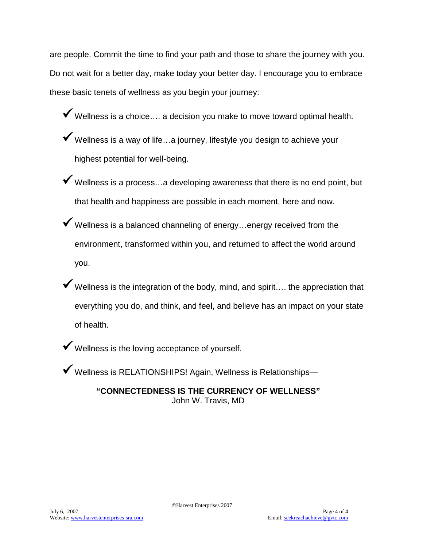are people. Commit the time to find your path and those to share the journey with you. Do not wait for a better day, make today your better day. I encourage you to embrace these basic tenets of wellness as you begin your journey:

- ◆ Wellness is a choice.... a decision you make to move toward optimal health.
- ◆ Wellness is a way of life...a journey, lifestyle you design to achieve your highest potential for well-being.
- Wellness is a process…a developing awareness that there is no end point, but that health and happiness are possible in each moment, here and now.
- $\blacktriangledown$  Wellness is a balanced channeling of energy...energy received from the environment, transformed within you, and returned to affect the world around you.
- $\checkmark$  Wellness is the integration of the body, mind, and spirit.... the appreciation that everything you do, and think, and feel, and believe has an impact on your state of health.
- Wellness is the loving acceptance of yourself.
- Wellness is RELATIONSHIPS! Again, Wellness is Relationships—

**"CONNECTEDNESS IS THE CURRENCY OF WELLNESS"** John W. Travis, MD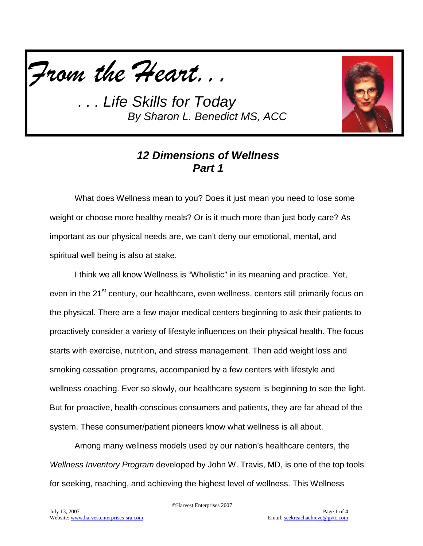



## *12 Dimensions of Wellness Part 1*

What does Wellness mean to you? Does it just mean you need to lose some weight or choose more healthy meals? Or is it much more than just body care? As important as our physical needs are, we can't deny our emotional, mental, and spiritual well being is also at stake.

I think we all know Wellness is "Wholistic" in its meaning and practice. Yet, even in the 21<sup>st</sup> century, our healthcare, even wellness, centers still primarily focus on the physical. There are a few major medical centers beginning to ask their patients to proactively consider a variety of lifestyle influences on their physical health. The focus starts with exercise, nutrition, and stress management. Then add weight loss and smoking cessation programs, accompanied by a few centers with lifestyle and wellness coaching. Ever so slowly, our healthcare system is beginning to see the light. But for proactive, health-conscious consumers and patients, they are far ahead of the system. These consumer/patient pioneers know what wellness is all about.

Among many wellness models used by our nation's healthcare centers, the *Wellness Inventory Program* developed by John W. Travis, MD, is one of the top tools for seeking, reaching, and achieving the highest level of wellness. This Wellness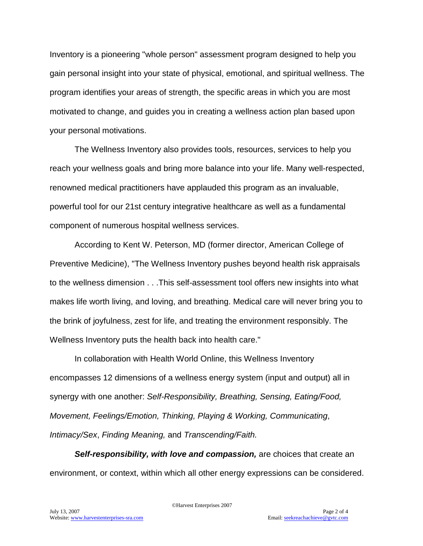Inventory is a pioneering "whole person" assessment program designed to help you gain personal insight into your state of physical, emotional, and spiritual wellness. The program identifies your areas of strength, the specific areas in which you are most motivated to change, and guides you in creating a wellness action plan based upon your personal motivations.

The Wellness Inventory also provides tools, resources, services to help you reach your wellness goals and bring more balance into your life. Many well-respected, renowned medical practitioners have applauded this program as an invaluable, powerful tool for our 21st century integrative healthcare as well as a fundamental component of numerous hospital wellness services.

According to Kent W. Peterson, MD (former director, American College of Preventive Medicine), "The Wellness Inventory pushes beyond health risk appraisals to the wellness dimension . . .This self-assessment tool offers new insights into what makes life worth living, and loving, and breathing. Medical care will never bring you to the brink of joyfulness, zest for life, and treating the environment responsibly. The Wellness Inventory puts the health back into health care."

In collaboration with Health World Online, this Wellness Inventory encompasses 12 dimensions of a wellness energy system (input and output) all in synergy with one another: *Self-Responsibility, Breathing, Sensing, Eating/Food, Movement, Feelings/Emotion, Thinking, Playing & Working, Communicating*, *Intimacy/Sex*, *Finding Meaning,* and *Transcending/Faith.*

*Self-responsibility, with love and compassion,* are choices that create an environment, or context, within which all other energy expressions can be considered.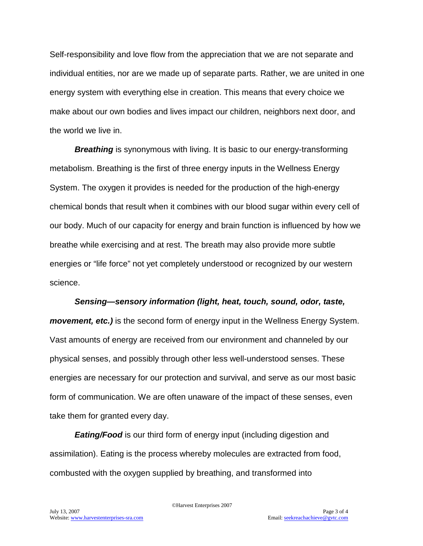Self-responsibility and love flow from the appreciation that we are not separate and individual entities, nor are we made up of separate parts. Rather, we are united in one energy system with everything else in creation. This means that every choice we make about our own bodies and lives impact our children, neighbors next door, and the world we live in.

**Breathing** is synonymous with living. It is basic to our energy-transforming metabolism. Breathing is the first of three energy inputs in the Wellness Energy System. The oxygen it provides is needed for the production of the high-energy chemical bonds that result when it combines with our blood sugar within every cell of our body. Much of our capacity for energy and brain function is influenced by how we breathe while exercising and at rest. The breath may also provide more subtle energies or "life force" not yet completely understood or recognized by our western science.

#### *Sensing—sensory information (light, heat, touch, sound, odor, taste,*

*movement, etc.)* is the second form of energy input in the Wellness Energy System. Vast amounts of energy are received from our environment and channeled by our physical senses, and possibly through other less well-understood senses. These energies are necessary for our protection and survival, and serve as our most basic form of communication. We are often unaware of the impact of these senses, even take them for granted every day.

*Eating/Food* is our third form of energy input (including digestion and assimilation). Eating is the process whereby molecules are extracted from food, combusted with the oxygen supplied by breathing, and transformed into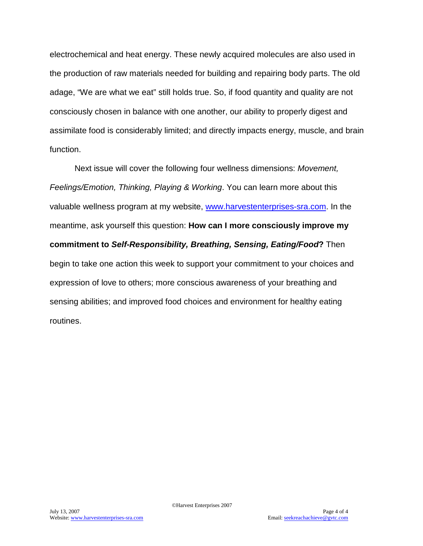electrochemical and heat energy. These newly acquired molecules are also used in the production of raw materials needed for building and repairing body parts. The old adage, "We are what we eat" still holds true. So, if food quantity and quality are not consciously chosen in balance with one another, our ability to properly digest and assimilate food is considerably limited; and directly impacts energy, muscle, and brain function.

Next issue will cover the following four wellness dimensions: *Movement, Feelings/Emotion, Thinking, Playing & Working*. You can learn more about this valuable wellness program at my website, [www.harvestenterprises-sra.com.](http://www.harvestenterprises-sra.com/) In the meantime, ask yourself this question: **How can I more consciously improve my commitment to** *Self-Responsibility, Breathing, Sensing, Eating/Food***?** Then begin to take one action this week to support your commitment to your choices and expression of love to others; more conscious awareness of your breathing and sensing abilities; and improved food choices and environment for healthy eating routines.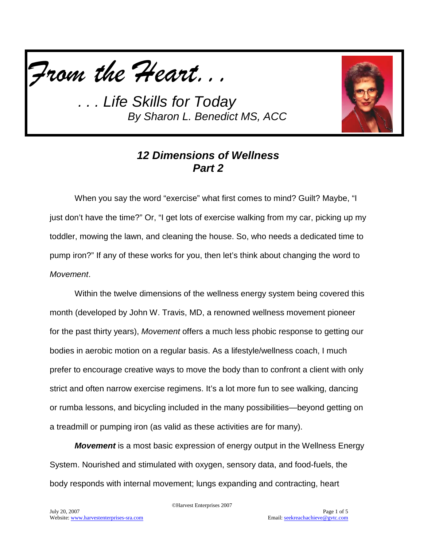



### *12 Dimensions of Wellness Part 2*

When you say the word "exercise" what first comes to mind? Guilt? Maybe, "I just don't have the time?" Or, "I get lots of exercise walking from my car, picking up my toddler, mowing the lawn, and cleaning the house. So, who needs a dedicated time to pump iron?" If any of these works for you, then let's think about changing the word to *Movement*.

Within the twelve dimensions of the wellness energy system being covered this month (developed by John W. Travis, MD, a renowned wellness movement pioneer for the past thirty years), *Movement* offers a much less phobic response to getting our bodies in aerobic motion on a regular basis. As a lifestyle/wellness coach, I much prefer to encourage creative ways to move the body than to confront a client with only strict and often narrow exercise regimens. It's a lot more fun to see walking, dancing or rumba lessons, and bicycling included in the many possibilities—beyond getting on a treadmill or pumping iron (as valid as these activities are for many).

*Movement* is a most basic expression of energy output in the Wellness Energy System. Nourished and stimulated with oxygen, sensory data, and food-fuels, the body responds with internal movement; lungs expanding and contracting, heart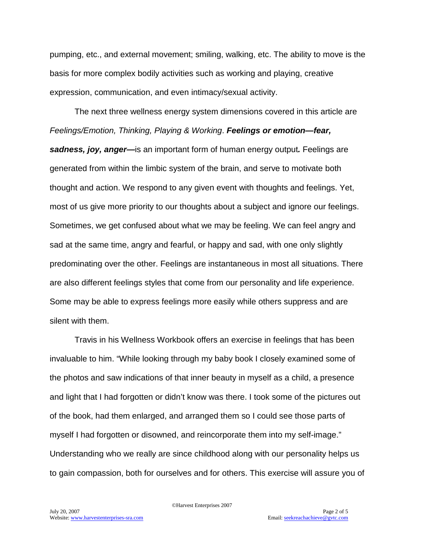pumping, etc., and external movement; smiling, walking, etc. The ability to move is the basis for more complex bodily activities such as working and playing, creative expression, communication, and even intimacy/sexual activity.

The next three wellness energy system dimensions covered in this article are *Feelings/Emotion, Thinking, Playing & Working*. *Feelings or emotion—fear, sadness, joy, anger—*is an important form of human energy output*.* Feelings are generated from within the limbic system of the brain, and serve to motivate both thought and action. We respond to any given event with thoughts and feelings. Yet, most of us give more priority to our thoughts about a subject and ignore our feelings. Sometimes, we get confused about what we may be feeling. We can feel angry and sad at the same time, angry and fearful, or happy and sad, with one only slightly predominating over the other. Feelings are instantaneous in most all situations. There are also different feelings styles that come from our personality and life experience. Some may be able to express feelings more easily while others suppress and are silent with them.

Travis in his Wellness Workbook offers an exercise in feelings that has been invaluable to him. "While looking through my baby book I closely examined some of the photos and saw indications of that inner beauty in myself as a child, a presence and light that I had forgotten or didn't know was there. I took some of the pictures out of the book, had them enlarged, and arranged them so I could see those parts of myself I had forgotten or disowned, and reincorporate them into my self-image." Understanding who we really are since childhood along with our personality helps us to gain compassion, both for ourselves and for others. This exercise will assure you of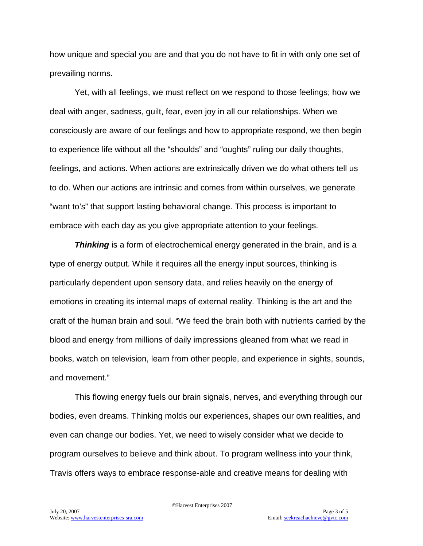how unique and special you are and that you do not have to fit in with only one set of prevailing norms.

Yet, with all feelings, we must reflect on we respond to those feelings; how we deal with anger, sadness, guilt, fear, even joy in all our relationships. When we consciously are aware of our feelings and how to appropriate respond, we then begin to experience life without all the "shoulds" and "oughts" ruling our daily thoughts, feelings, and actions. When actions are extrinsically driven we do what others tell us to do. When our actions are intrinsic and comes from within ourselves, we generate "want to's" that support lasting behavioral change. This process is important to embrace with each day as you give appropriate attention to your feelings.

*Thinking* is a form of electrochemical energy generated in the brain, and is a type of energy output. While it requires all the energy input sources, thinking is particularly dependent upon sensory data, and relies heavily on the energy of emotions in creating its internal maps of external reality. Thinking is the art and the craft of the human brain and soul. "We feed the brain both with nutrients carried by the blood and energy from millions of daily impressions gleaned from what we read in books, watch on television, learn from other people, and experience in sights, sounds, and movement."

This flowing energy fuels our brain signals, nerves, and everything through our bodies, even dreams. Thinking molds our experiences, shapes our own realities, and even can change our bodies. Yet, we need to wisely consider what we decide to program ourselves to believe and think about. To program wellness into your think, Travis offers ways to embrace response-able and creative means for dealing with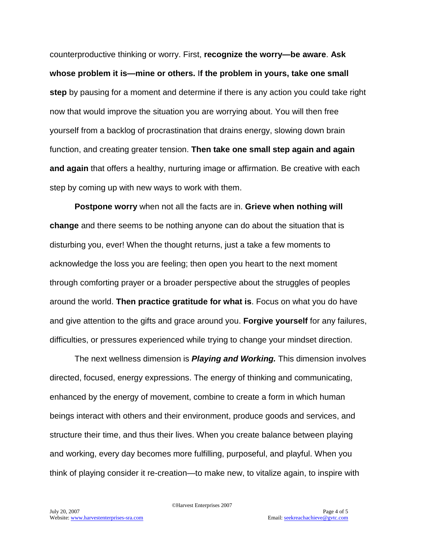counterproductive thinking or worry. First, **recognize the worry—be aware**. **Ask whose problem it is—mine or others.** I**f the problem in yours, take one small step** by pausing for a moment and determine if there is any action you could take right now that would improve the situation you are worrying about. You will then free yourself from a backlog of procrastination that drains energy, slowing down brain function, and creating greater tension. **Then take one small step again and again and again** that offers a healthy, nurturing image or affirmation. Be creative with each step by coming up with new ways to work with them.

**Postpone worry** when not all the facts are in. **Grieve when nothing will change** and there seems to be nothing anyone can do about the situation that is disturbing you, ever! When the thought returns, just a take a few moments to acknowledge the loss you are feeling; then open you heart to the next moment through comforting prayer or a broader perspective about the struggles of peoples around the world. **Then practice gratitude for what is**. Focus on what you do have and give attention to the gifts and grace around you. **Forgive yourself** for any failures, difficulties, or pressures experienced while trying to change your mindset direction.

The next wellness dimension is *Playing and Working.* This dimension involves directed, focused, energy expressions. The energy of thinking and communicating, enhanced by the energy of movement, combine to create a form in which human beings interact with others and their environment, produce goods and services, and structure their time, and thus their lives. When you create balance between playing and working, every day becomes more fulfilling, purposeful, and playful. When you think of playing consider it re-creation—to make new, to vitalize again, to inspire with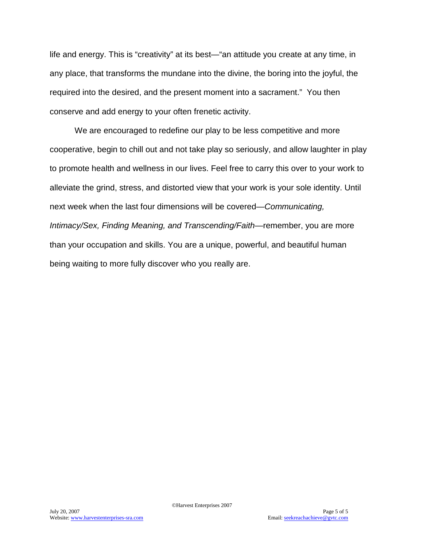life and energy. This is "creativity" at its best—"an attitude you create at any time, in any place, that transforms the mundane into the divine, the boring into the joyful, the required into the desired, and the present moment into a sacrament." You then conserve and add energy to your often frenetic activity.

We are encouraged to redefine our play to be less competitive and more cooperative, begin to chill out and not take play so seriously, and allow laughter in play to promote health and wellness in our lives. Feel free to carry this over to your work to alleviate the grind, stress, and distorted view that your work is your sole identity. Until next week when the last four dimensions will be covered—*Communicating, Intimacy/Sex, Finding Meaning, and Transcending/Faith*—remember, you are more than your occupation and skills. You are a unique, powerful, and beautiful human being waiting to more fully discover who you really are.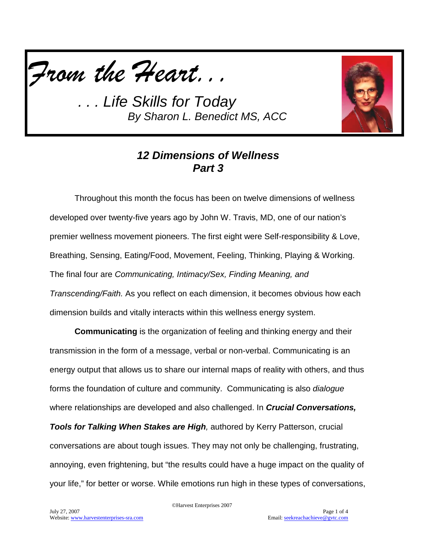



## *12 Dimensions of Wellness Part 3*

Throughout this month the focus has been on twelve dimensions of wellness developed over twenty-five years ago by John W. Travis, MD, one of our nation's premier wellness movement pioneers. The first eight were Self-responsibility & Love, Breathing, Sensing, Eating/Food, Movement, Feeling, Thinking, Playing & Working. The final four are *Communicating, Intimacy/Sex, Finding Meaning, and Transcending/Faith.* As you reflect on each dimension, it becomes obvious how each dimension builds and vitally interacts within this wellness energy system.

**Communicating** is the organization of feeling and thinking energy and their transmission in the form of a message, verbal or non-verbal. Communicating is an energy output that allows us to share our internal maps of reality with others, and thus forms the foundation of culture and community. Communicating is also *dialogue* where relationships are developed and also challenged. In *Crucial Conversations,* 

*Tools for Talking When Stakes are High,* authored by Kerry Patterson, crucial conversations are about tough issues. They may not only be challenging, frustrating, annoying, even frightening, but "the results could have a huge impact on the quality of your life," for better or worse. While emotions run high in these types of conversations,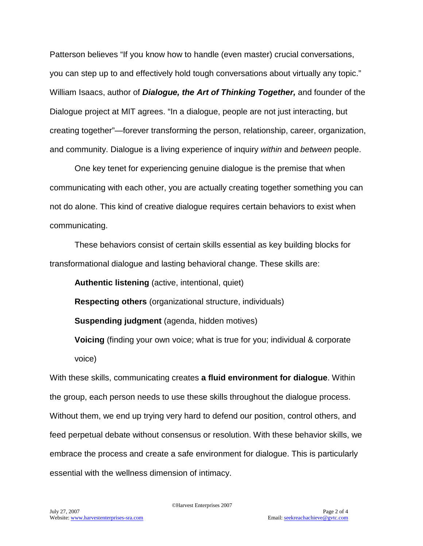Patterson believes "If you know how to handle (even master) crucial conversations, you can step up to and effectively hold tough conversations about virtually any topic." William Isaacs, author of *Dialogue, the Art of Thinking Together,* and founder of the Dialogue project at MIT agrees. "In a dialogue, people are not just interacting, but creating together"—forever transforming the person, relationship, career, organization, and community. Dialogue is a living experience of inquiry *within* and *between* people.

One key tenet for experiencing genuine dialogue is the premise that when communicating with each other, you are actually creating together something you can not do alone. This kind of creative dialogue requires certain behaviors to exist when communicating.

These behaviors consist of certain skills essential as key building blocks for transformational dialogue and lasting behavioral change. These skills are:

**Authentic listening** (active, intentional, quiet)

**Respecting others** (organizational structure, individuals)

**Suspending judgment** (agenda, hidden motives)

**Voicing** (finding your own voice; what is true for you; individual & corporate voice)

With these skills, communicating creates **a fluid environment for dialogue**. Within the group, each person needs to use these skills throughout the dialogue process. Without them, we end up trying very hard to defend our position, control others, and feed perpetual debate without consensus or resolution. With these behavior skills, we embrace the process and create a safe environment for dialogue. This is particularly essential with the wellness dimension of intimacy.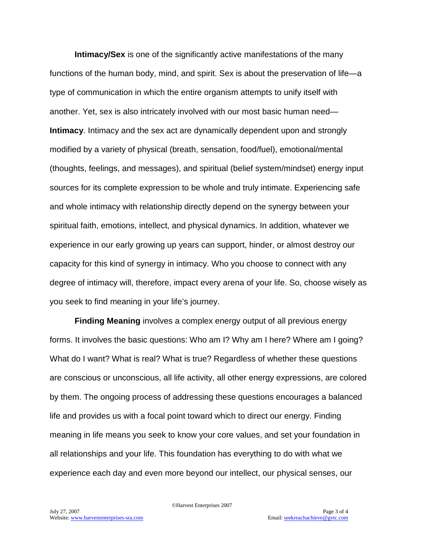**Intimacy/Sex** is one of the significantly active manifestations of the many functions of the human body, mind, and spirit. Sex is about the preservation of life—a type of communication in which the entire organism attempts to unify itself with another. Yet, sex is also intricately involved with our most basic human need— **Intimacy**. Intimacy and the sex act are dynamically dependent upon and strongly modified by a variety of physical (breath, sensation, food/fuel), emotional/mental (thoughts, feelings, and messages), and spiritual (belief system/mindset) energy input sources for its complete expression to be whole and truly intimate. Experiencing safe and whole intimacy with relationship directly depend on the synergy between your spiritual faith, emotions, intellect, and physical dynamics. In addition, whatever we experience in our early growing up years can support, hinder, or almost destroy our capacity for this kind of synergy in intimacy. Who you choose to connect with any degree of intimacy will, therefore, impact every arena of your life. So, choose wisely as you seek to find meaning in your life's journey.

**Finding Meaning** involves a complex energy output of all previous energy forms. It involves the basic questions: Who am I? Why am I here? Where am I going? What do I want? What is real? What is true? Regardless of whether these questions are conscious or unconscious, all life activity, all other energy expressions, are colored by them. The ongoing process of addressing these questions encourages a balanced life and provides us with a focal point toward which to direct our energy. Finding meaning in life means you seek to know your core values, and set your foundation in all relationships and your life. This foundation has everything to do with what we experience each day and even more beyond our intellect, our physical senses, our